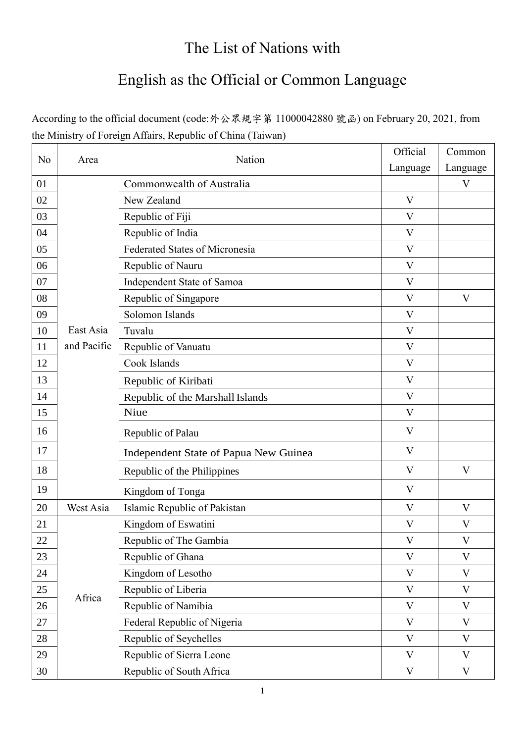## The List of Nations with

## English as the Official or Common Language

According to the official document (code:外公眾規字第 11000042880 號函) on February 20, 2021, from the Ministry of Foreign Affairs, Republic of China (Taiwan)

| No     | Area        | Nation                                | Official     | Common       |
|--------|-------------|---------------------------------------|--------------|--------------|
|        |             |                                       | Language     | Language     |
| 01     |             | Commonwealth of Australia             |              | V            |
| 02     |             | New Zealand                           | V            |              |
| 03     |             | Republic of Fiji                      | V            |              |
| 04     |             | Republic of India                     | V            |              |
| 05     |             | Federated States of Micronesia        | V            |              |
| 06     |             | Republic of Nauru                     | $\rm V$      |              |
| 07     |             | Independent State of Samoa            | V            |              |
| 08     |             | Republic of Singapore                 | V            | V            |
| 09     |             | Solomon Islands                       | $\rm V$      |              |
| 10     | East Asia   | Tuvalu                                | V            |              |
| 11     | and Pacific | Republic of Vanuatu                   | V            |              |
| 12     |             | Cook Islands                          | V            |              |
| 13     |             | Republic of Kiribati                  | V            |              |
| 14     |             | Republic of the Marshall Islands      | V            |              |
| 15     |             | Niue                                  | $\mathbf{V}$ |              |
| 16     |             | Republic of Palau                     | V            |              |
| 17     |             | Independent State of Papua New Guinea | V            |              |
| 18     |             | Republic of the Philippines           | V            | V            |
| 19     |             | Kingdom of Tonga                      | V            |              |
| 20     | West Asia   | Islamic Republic of Pakistan          | $\mathbf{V}$ | $\mathbf{V}$ |
| 21     |             | Kingdom of Eswatini                   | V            | V            |
| $22\,$ |             | Republic of The Gambia                | V            | $\mathbf V$  |
| 23     |             | Republic of Ghana                     | V            | $\mathbf V$  |
| 24     |             | Kingdom of Lesotho                    | $\mathbf{V}$ | $\mathbf V$  |
| 25     |             | Republic of Liberia                   | V            | V            |
| 26     | Africa      | Republic of Namibia                   | $\mathbf{V}$ | V            |
| 27     |             | Federal Republic of Nigeria           | $\mathbf{V}$ | $\mathbf V$  |
| 28     |             | Republic of Seychelles                | V            | V            |
| 29     |             | Republic of Sierra Leone              | V            | $\mathbf V$  |
| 30     |             | Republic of South Africa              | V            | V            |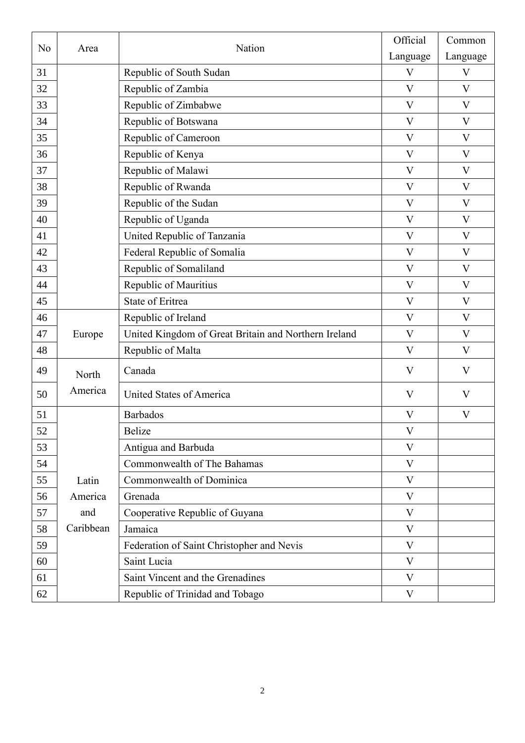| No | Area      | Nation                                               | Official     | Common       |
|----|-----------|------------------------------------------------------|--------------|--------------|
|    |           |                                                      | Language     | Language     |
| 31 |           | Republic of South Sudan                              | $\mathbf{V}$ | $\mathbf{V}$ |
| 32 |           | Republic of Zambia                                   | $\rm V$      | $\mathbf{V}$ |
| 33 |           | Republic of Zimbabwe                                 | $\rm V$      | $\mathbf{V}$ |
| 34 |           | Republic of Botswana                                 | $\rm V$      | V            |
| 35 |           | Republic of Cameroon                                 | V            | V            |
| 36 |           | Republic of Kenya                                    | V            | V            |
| 37 |           | Republic of Malawi                                   | V            | $\mathbf V$  |
| 38 |           | Republic of Rwanda                                   | $\rm V$      | V            |
| 39 |           | Republic of the Sudan                                | V            | V            |
| 40 |           | Republic of Uganda                                   | $\mathbf{V}$ | $\mathbf{V}$ |
| 41 |           | United Republic of Tanzania                          | V            | $\mathbf{V}$ |
| 42 |           | Federal Republic of Somalia                          | $\mathbf{V}$ | V            |
| 43 |           | Republic of Somaliland                               | V            | $\mathbf{V}$ |
| 44 |           | Republic of Mauritius                                | $\mathbf{V}$ | $\mathbf{V}$ |
| 45 |           | State of Eritrea                                     | $\rm V$      | $\mathbf{V}$ |
| 46 |           | Republic of Ireland                                  | V            | V            |
| 47 | Europe    | United Kingdom of Great Britain and Northern Ireland | V            | V            |
| 48 |           | Republic of Malta                                    | V            | V            |
| 49 | North     | Canada                                               | V            | V            |
| 50 | America   | United States of America                             | V            | V            |
| 51 |           | <b>Barbados</b>                                      | V            | V            |
| 52 |           | Belize                                               | V            |              |
| 53 |           | Antigua and Barbuda                                  | $\mathbf{V}$ |              |
| 54 |           | Commonwealth of The Bahamas                          | V            |              |
| 55 | Latin     | Commonwealth of Dominica                             | V            |              |
| 56 | America   | Grenada                                              | V            |              |
| 57 | and       | Cooperative Republic of Guyana                       | $\mathbf{V}$ |              |
| 58 | Caribbean | Jamaica                                              | $\mathbf{V}$ |              |
| 59 |           | Federation of Saint Christopher and Nevis            | $\mathbf{V}$ |              |
| 60 |           | Saint Lucia                                          | V            |              |
| 61 |           | Saint Vincent and the Grenadines                     | V            |              |
| 62 |           | Republic of Trinidad and Tobago                      | $\mathbf V$  |              |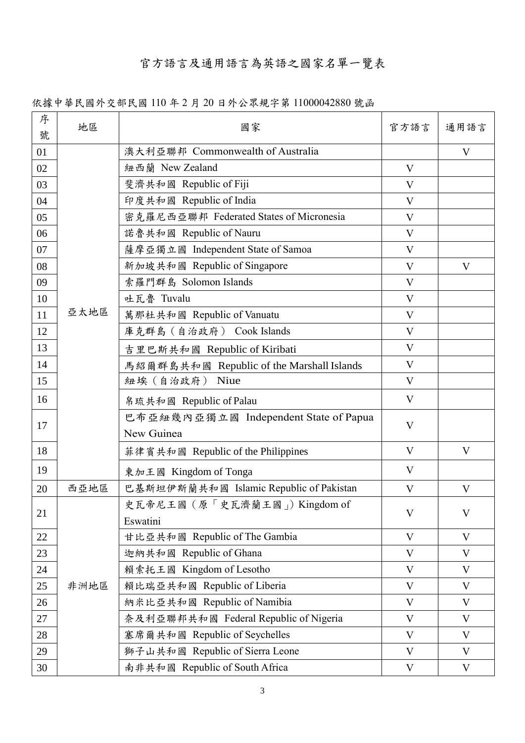## 官方語言及通用語言為英語之國家名單一覽表

依據中華民國外交部民國 110 年 2 月 20 日外公眾規字第 11000042880 號函

| 序<br>號 | 地區   | 國家                                                  | 官方語言         | 通用語言 |
|--------|------|-----------------------------------------------------|--------------|------|
| 01     |      | 澳大利亞聯邦 Commonwealth of Australia                    |              | V    |
| 02     |      | 紐西蘭 New Zealand                                     | $\rm V$      |      |
| 03     |      | 斐濟共和國 Republic of Fiji                              | V            |      |
| 04     |      | 印度共和國 Republic of India                             | V            |      |
| 05     |      | 密克羅尼西亞聯邦 Federated States of Micronesia             | V            |      |
| 06     |      | 諾魯共和國 Republic of Nauru                             | V            |      |
| 07     |      | 薩摩亞獨立國 Independent State of Samoa                   | V            |      |
| 08     |      | 新加坡共和國 Republic of Singapore                        | V            | V    |
| 09     |      | 索羅門群島 Solomon Islands                               | $\rm V$      |      |
| 10     |      | 吐瓦魯 Tuvalu                                          | $\rm V$      |      |
| 11     | 亞太地區 | 萬那杜共和國 Republic of Vanuatu                          | $\rm V$      |      |
| 12     |      | 庫克群島 (自治政府) Cook Islands                            | $\rm V$      |      |
| 13     |      | 吉里巴斯共和國 Republic of Kiribati                        | $\rm V$      |      |
| 14     |      | 馬紹爾群島共和國 Republic of the Marshall Islands           | V            |      |
| 15     |      | 紐埃(自治政府) Niue                                       | V            |      |
| 16     |      | 帛琉共和國 Republic of Palau                             | V            |      |
| 17     |      | 巴布亞紐幾內亞獨立國 Independent State of Papua<br>New Guinea | V            |      |
| 18     |      | 菲律賓共和國 Republic of the Philippines                  | V            | V    |
| 19     |      | 東加王國 Kingdom of Tonga                               | $\rm V$      |      |
| 20     | 西亞地區 | 巴基斯坦伊斯蘭共和國 Islamic Republic of Pakistan             | V            | V    |
| 21     |      | 史瓦帝尼王國(原「史瓦濟蘭王國」)Kingdom of<br>Eswatini             | V            | V    |
| 22     |      | 甘比亞共和國 Republic of The Gambia                       | $\rm V$      | V    |
| 23     |      | 迦納共和國 Republic of Ghana                             | $\rm V$      | V    |
| 24     |      | 賴索托王國 Kingdom of Lesotho                            | $\rm V$      | V    |
| 25     | 非洲地區 | 賴比瑞亞共和國 Republic of Liberia                         | $\mathbf{V}$ | V    |
| 26     |      | 納米比亞共和國 Republic of Namibia                         | $\mathbf{V}$ | V    |
| 27     |      | 奈及利亞聯邦共和國 Federal Republic of Nigeria               | V            | V    |
| 28     |      | 塞席爾共和國 Republic of Seychelles                       | V            | V    |
| 29     |      | 獅子山共和國 Republic of Sierra Leone                     | V            | V    |
| 30     |      | 南非共和國 Republic of South Africa                      | V            | V    |